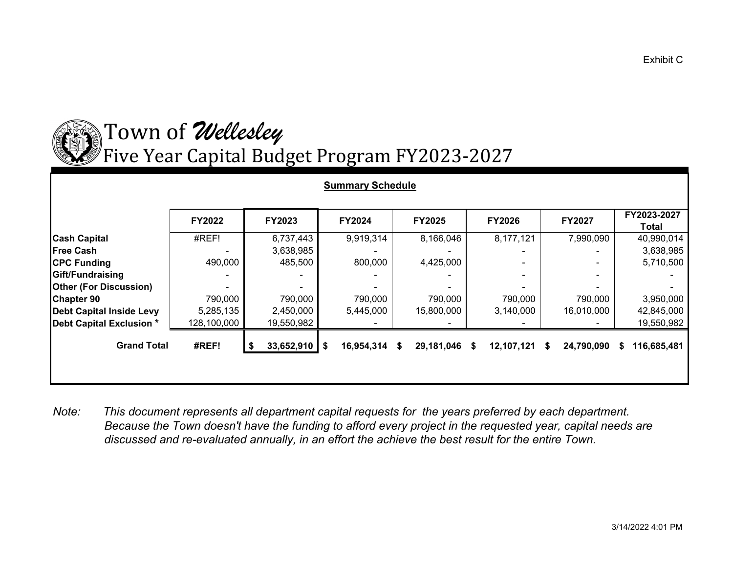

## Town o <sup>f</sup> *Wellesley* Five Year Capital Bud get Pro gram FY2023-2027

| <b>Summary Schedule</b>         |             |               |                  |                     |                |                 |                      |  |  |  |  |  |
|---------------------------------|-------------|---------------|------------------|---------------------|----------------|-----------------|----------------------|--|--|--|--|--|
|                                 | FY2022      | <b>FY2023</b> | <b>FY2024</b>    | <b>FY2025</b>       | <b>FY2026</b>  | <b>FY2027</b>   | FY2023-2027<br>Total |  |  |  |  |  |
| <b>Cash Capital</b>             | #REF!       | 6,737,443     | 9,919,314        | 8,166,046           | 8,177,121      | 7,990,090       | 40,990,014           |  |  |  |  |  |
| <b>Free Cash</b>                |             | 3,638,985     |                  |                     |                |                 | 3,638,985            |  |  |  |  |  |
| <b>CPC Funding</b>              | 490,000     | 485,500       | 800,000          | 4,425,000           |                |                 | 5,710,500            |  |  |  |  |  |
| Gift/Fundraising                |             |               |                  |                     | $\blacksquare$ |                 |                      |  |  |  |  |  |
| <b>Other (For Discussion)</b>   |             |               |                  |                     |                |                 |                      |  |  |  |  |  |
| <b>Chapter 90</b>               | 790,000     | 790,000       | 790,000          | 790,000             | 790,000        | 790,000         | 3,950,000            |  |  |  |  |  |
| <b>Debt Capital Inside Levy</b> | 5,285,135   | 2,450,000     | 5,445,000        | 15,800,000          | 3,140,000      | 16,010,000      | 42,845,000           |  |  |  |  |  |
| Debt Capital Exclusion *        | 128,100,000 | 19,550,982    |                  |                     |                |                 | 19,550,982           |  |  |  |  |  |
| <b>Grand Total</b>              | #REF!       | 33,652,910    | \$<br>16,954,314 | 29,181,046 \$<br>\$ | 12,107,121     | 24,790,090<br>S | 116,685,481<br>S.    |  |  |  |  |  |

*Note: This document represents all department capital requests for the years preferred by each department. Because the Town doesn't have the funding to afford every project in the requested year, capital needs are discussed and re-evaluated annually, in an effort the achieve the best result for the entire Town.*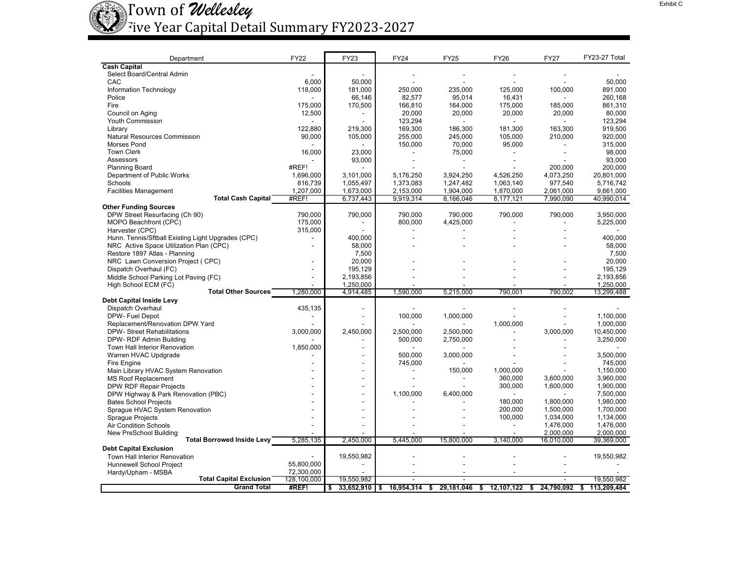

## Town of *Wellesley* Five Year Capital Detail Summary FY2023-2027

| Department                                         | <b>FY22</b>              | FY23                     | FY24                     | FY25                     | <b>FY26</b>    | <b>FY27</b>                                          | FY23-27 Total     |
|----------------------------------------------------|--------------------------|--------------------------|--------------------------|--------------------------|----------------|------------------------------------------------------|-------------------|
| <b>Cash Capital</b>                                |                          |                          |                          |                          |                |                                                      |                   |
| Select Board/Central Admin                         |                          |                          |                          |                          |                |                                                      |                   |
| CAC                                                | 6.000                    | 50.000                   |                          |                          |                |                                                      | 50.000            |
| Information Technology                             | 118,000                  | 181,000                  | 250,000                  | 235,000                  | 125,000        | 100,000                                              | 891,000           |
| Police                                             |                          | 66,146                   | 82,577                   | 95,014                   | 16,431         |                                                      | 260,168           |
| Fire                                               | 175,000                  | 170,500                  | 166,810                  | 164,000                  | 175,000        | 185.000                                              | 861.310           |
| Council on Aging                                   | 12,500                   |                          | 20,000                   | 20,000                   | 20,000         | 20,000                                               | 80.000            |
| Youth Commission                                   |                          |                          | 123,294                  | $\overline{a}$           | $\blacksquare$ |                                                      | 123,294           |
| Library                                            | 122.880                  | 219.300                  | 169,300                  | 186,300                  | 181,300        | 163,300                                              | 919.500           |
| Natural Resources Commission                       | 90,000                   | 105,000                  | 255,000                  | 245,000                  | 105,000        | 210,000                                              | 920,000           |
| Morses Pond                                        |                          |                          | 150,000                  | 70,000                   | 95,000         |                                                      | 315,000           |
| <b>Town Clerk</b>                                  | 16,000                   | 23,000                   |                          | 75,000                   |                |                                                      | 98,000            |
| Assessors                                          |                          | 93,000                   |                          | $\overline{\phantom{a}}$ |                |                                                      | 93,000            |
| <b>Planning Board</b>                              | #REF!                    |                          |                          |                          |                | 200.000                                              | 200,000           |
| Department of Public Works                         | 1,696,000                | 3,101,000                | 5,176,250                | 3,924,250                | 4,526,250      | 4,073,250                                            | 20,801,000        |
| Schools                                            | 816.739                  | 1,055,497                | 1.373.083                | 1,247,482                | 1.063.140      | 977.540                                              | 5.716.742         |
| <b>Facilities Management</b>                       | 1,207,000                | 1,673,000                | 2,153,000                | 1,904,000                | 1,870,000      | 2,061,000                                            | 9,661,000         |
| <b>Total Cash Capital</b>                          | #REF!                    | 6,737,443                | 9,919,314                | 8,166,046                | 8,177,121      | 7,990,090                                            | 40,990,014        |
| <b>Other Funding Sources</b>                       |                          |                          |                          |                          |                |                                                      |                   |
| DPW Street Resurfacing (Ch 90)                     | 790,000                  | 790,000                  | 790,000                  | 790,000                  | 790,000        | 790,000                                              | 3,950,000         |
| MOPO Beachfront (CPC)                              | 175,000                  | $\blacksquare$           | 800,000                  | 4,425,000                |                |                                                      | 5,225,000         |
| Harvester (CPC)                                    | 315,000                  |                          |                          |                          |                |                                                      |                   |
| Hunn. Tennis/Sftball Existing Light Upgrades (CPC) | $\overline{\phantom{a}}$ | 400,000                  |                          |                          |                |                                                      | 400,000           |
| NRC Active Space Utilization Plan (CPC)            |                          | 58,000                   |                          |                          |                |                                                      | 58,000            |
| Restore 1897 Atlas - Planning                      |                          | 7,500                    |                          |                          |                |                                                      | 7,500             |
| NRC Lawn Conversion Project (CPC)                  |                          | 20,000                   |                          |                          |                |                                                      | 20,000            |
| Dispatch Overhaul (FC)                             | ٠                        | 195,129                  |                          |                          |                |                                                      | 195,129           |
| Middle School Parking Lot Paving (FC)              |                          | 2,193,856                |                          |                          |                |                                                      | 2,193,856         |
| High School ECM (FC)                               |                          | 1.250.000                |                          |                          |                |                                                      | 1.250.000         |
| <b>Total Other Sources</b>                         | 1,280,000                | 4,914,485                | 1,590,000                | 5,215,000                | 790.001        | 790.002                                              | 13,299,488        |
| <b>Debt Capital Inside Levy</b>                    |                          |                          |                          |                          |                |                                                      |                   |
| Dispatch Overhaul                                  | 435,135                  |                          |                          |                          |                |                                                      |                   |
| DPW- Fuel Depot                                    |                          | $\blacksquare$           | 100,000                  | 1,000,000                |                |                                                      | 1,100,000         |
| Replacement/Renovation DPW Yard                    |                          |                          |                          |                          | 1,000,000      |                                                      | 1.000.000         |
| <b>DPW- Street Rehabilitations</b>                 | 3,000,000                | 2,450,000                | 2,500,000                | 2,500,000                |                | 3,000,000                                            | 10,450,000        |
| DPW-RDF Admin Building                             |                          |                          | 500,000                  | 2,750,000                |                |                                                      | 3,250,000         |
| Town Hall Interior Renovation                      | 1,850,000                | $\overline{\phantom{a}}$ |                          |                          |                |                                                      |                   |
| Warren HVAC Updgrade                               |                          |                          | 500.000                  | 3.000.000                |                |                                                      | 3.500.000         |
| Fire Engine                                        | ٠                        | $\blacksquare$           | 745,000                  |                          |                |                                                      | 745,000           |
| Main Library HVAC System Renovation                | $\sim$                   | $\sim$                   | $\overline{a}$           | 150,000                  | 1,000,000      |                                                      | 1,150,000         |
| <b>MS Roof Replacement</b>                         |                          | ä,                       | $\overline{\phantom{a}}$ | $\blacksquare$           | 360,000        | 3,600,000                                            | 3.960.000         |
| DPW RDF Repair Projects                            |                          |                          |                          |                          | 300,000        | 1,600,000                                            | 1,900,000         |
| DPW Highway & Park Renovation (PBC)                |                          |                          | 1,100,000                | 6,400,000                |                |                                                      | 7,500,000         |
| <b>Bates School Projects</b>                       |                          |                          |                          |                          | 180,000        | 1,800,000                                            | 1,980,000         |
| Sprague HVAC System Renovation                     |                          |                          |                          |                          | 200,000        | 1,500,000                                            | 1,700,000         |
| <b>Sprague Projects</b>                            |                          |                          |                          |                          | 100,000        | 1,034,000                                            | 1,134,000         |
| Air Condition Schools                              |                          |                          |                          |                          | $\overline{a}$ | 1,476,000                                            | 1,476,000         |
| New PreSchool Building                             |                          |                          |                          |                          |                | 2,000,000                                            | 2,000,000         |
| <b>Total Borrowed Inside Levy</b>                  | 5,285,135                | 2,450,000                | 5,445,000                | 15.800.000               | 3,140,000      | 16,010,000                                           | 39,369,000        |
| <b>Debt Capital Exclusion</b>                      |                          |                          |                          |                          |                |                                                      |                   |
| Town Hall Interior Renovation                      |                          | 19,550,982               |                          |                          |                |                                                      | 19,550,982        |
| Hunnewell School Project                           | 55,800,000               |                          |                          |                          |                |                                                      | $\blacksquare$    |
| Hardy/Upham - MSBA                                 | 72,300,000               |                          |                          |                          |                |                                                      |                   |
| <b>Total Capital Exclusion</b>                     | 128,100,000              | 19,550,982               | $\sim$                   | $\sim$                   |                |                                                      | 19,550,982        |
| <b>Grand Total</b>                                 | #REF!                    | \$<br>$33,652,910$ \$    |                          |                          |                | 16,954,314 \$ 29,181,046 \$ 12,107,122 \$ 24,790,092 | 113,209,484<br>\$ |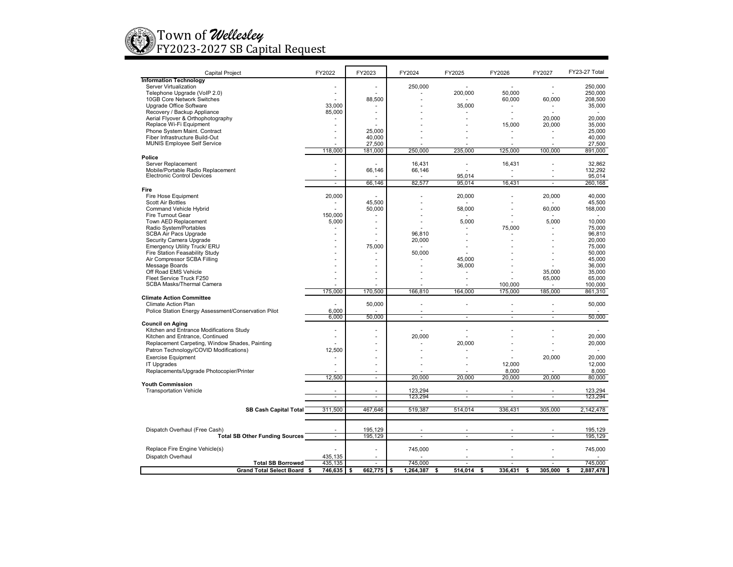

| <b>Capital Project</b>                                                 | FY2022             | FY2023         | FY2024          | FY2025           | FY2026         | FY2027        | FY23-27 Total     |
|------------------------------------------------------------------------|--------------------|----------------|-----------------|------------------|----------------|---------------|-------------------|
| <b>Information Technology</b>                                          |                    |                |                 |                  |                |               |                   |
| Server Virtualization                                                  | ٠                  | $\blacksquare$ | 250,000         |                  | $\sim$         | ٠             | 250,000           |
| Telephone Upgrade (VoIP 2.0)                                           | ÷,                 |                |                 | 200,000          | 50.000         |               | 250.000           |
| 10GB Core Network Switches                                             |                    | 88,500         |                 |                  | 60,000         | 60,000        | 208,500           |
| Upgrade Office Software                                                | 33,000             |                |                 | 35,000           | ٠              | ٠             | 35,000            |
| Recovery / Backup Appliance<br>Aerial Flyover & Orthophotography       | 85,000             |                |                 |                  |                | 20,000        | 20,000            |
| Replace Wi-Fi Equipment                                                |                    |                |                 |                  | 15,000         | 20,000        | 35,000            |
| Phone System Maint. Contract                                           |                    | 25,000         |                 |                  |                |               | 25,000            |
| Fiber Infrastructure Build-Out                                         | ×.                 | 40,000         |                 |                  |                |               | 40,000            |
| <b>MUNIS Employee Self Service</b>                                     |                    | 27,500         |                 |                  |                |               | 27.500            |
|                                                                        | 118,000            | 181,000        | 250,000         | 235,000          | 125,000        | 100.000       | 891,000           |
| Police                                                                 |                    |                |                 |                  |                |               |                   |
| Server Replacement                                                     |                    |                | 16,431          |                  | 16,431         |               | 32,862            |
| Mobile/Portable Radio Replacement<br><b>Electronic Control Devices</b> | $\sim$             | 66.146         |                 | 66,146           |                |               | 132.292           |
|                                                                        | ÷                  | 66,146         | 82,577          | 95,014<br>95,014 | L,<br>16,43'   | $\sim$        | 95,014<br>260,168 |
| Fire                                                                   |                    |                |                 |                  |                |               |                   |
| Fire Hose Equipment                                                    | 20,000             |                |                 | 20,000           |                | 20,000        | 40,000            |
| Scott Air Bottles                                                      |                    | 45,500         |                 |                  |                |               | 45,500            |
| <b>Command Vehicle Hybrid</b>                                          |                    | 50,000         |                 | 58,000           |                | 60,000        | 168,000           |
| Fire Turnout Gear                                                      | 150,000            |                |                 |                  | ä,             |               |                   |
| Town AED Replacement                                                   | 5,000              | ×              |                 | 5,000            | ÷.             | 5,000         | 10,000            |
| Radio System/Portables                                                 |                    |                |                 |                  | 75,000         |               | 75,000            |
| <b>SCBA Air Pacs Upgrade</b>                                           |                    |                |                 | 96,810           |                |               | 96,810            |
| Security Camera Upgrade                                                |                    | 75,000         |                 | 20,000           |                |               | 20,000<br>75,000  |
| Emergency Utility Truck/ ERU<br>Fire Station Feasability Study         |                    |                |                 | 50,000           |                |               | 50.000            |
| Air Compressor SCBA Filling                                            |                    |                |                 | 45.000           |                |               | 45.000            |
| Message Boards                                                         |                    |                |                 | 36,000           |                |               | 36,000            |
| Off Road EMS Vehicle                                                   |                    |                |                 |                  |                | 35,000        | 35,000            |
| Fleet Service Truck F250                                               |                    |                |                 |                  |                | 65,000        | 65,000            |
| <b>SCBA Masks/Thermal Camera</b>                                       |                    |                |                 |                  | 100.000        |               | 100,000           |
|                                                                        | 175,000            | 170,500        | 166,810         | 164,000          | 175,000        | 185,000       | 861,310           |
| <b>Climate Action Committee</b>                                        |                    |                |                 |                  |                |               |                   |
| <b>Climate Action Plan</b>                                             |                    | 50,000         |                 |                  |                |               | 50,000            |
| Police Station Energy Assessment/Conservation Pilot                    | 6.000<br>6,000     | 50,000         |                 | τ<br>÷.          | τ              | τ             | 50,000            |
| <b>Council on Aging</b>                                                |                    |                |                 |                  |                |               |                   |
| Kitchen and Entrance Modifications Study                               |                    |                |                 |                  |                |               |                   |
| Kitchen and Entrance, Continued                                        | ٠                  |                |                 | 20,000           |                |               | 20,000            |
| Replacement Carpeting, Window Shades, Painting                         |                    |                |                 | 20,000           |                |               | 20,000            |
| Patron Technology/COVID Modifications)                                 | 12,500             |                |                 |                  |                |               | $\sim$            |
| <b>Exercise Equipment</b>                                              |                    |                |                 |                  |                | 20,000        | 20,000            |
| <b>IT Upgrades</b>                                                     | $\sim$             |                |                 |                  | 12,000         |               | 12,000            |
| Replacements/Upgrade Photocopier/Printer                               |                    |                |                 |                  | 8,000          |               | 8,000             |
|                                                                        | 12,500             | $\sim$         |                 | 20,000<br>20,000 | 20,000         | 20,000        | 80,000            |
| <b>Youth Commission</b>                                                |                    |                |                 |                  |                |               |                   |
| <b>Transportation Vehicle</b>                                          | ÷                  | $\sim$         | 123,294         | ÷                | $\overline{a}$ | ÷.            | 123,294           |
|                                                                        |                    |                | 123,294         |                  |                |               | 123,294           |
| <b>SB Cash Capital Total</b>                                           | 311,500            | 467,646        | 519,387         | 514,014          | 336,431        | 305,000       | 2,142,478         |
|                                                                        |                    |                |                 |                  |                |               |                   |
|                                                                        |                    |                |                 |                  |                |               |                   |
| Dispatch Overhaul (Free Cash)                                          |                    | 195,129        |                 |                  |                |               | 195,129           |
| <b>Total SB Other Funding Sources</b>                                  | ÷                  | 195,129        |                 | ÷<br>×.          | ÷.             | ÷.            | 195,129           |
| Replace Fire Engine Vehicle(s)                                         |                    |                |                 |                  |                |               |                   |
|                                                                        |                    |                | 745,000         |                  |                |               | 745,000           |
| Dispatch Overhaul<br><b>Total SB Borrowed</b>                          | 435,135<br>435,135 | $\sim$         | 745,000         | ä,               | ä,             | ÷.            | 745,000           |
| Grand Total Select Board \$                                            | 746,635            | 662,775<br>-\$ | \$<br>1,264,387 | 514,014<br>\$    | 336,431<br>\$  | 305,000<br>\$ | 2,887,478<br>\$   |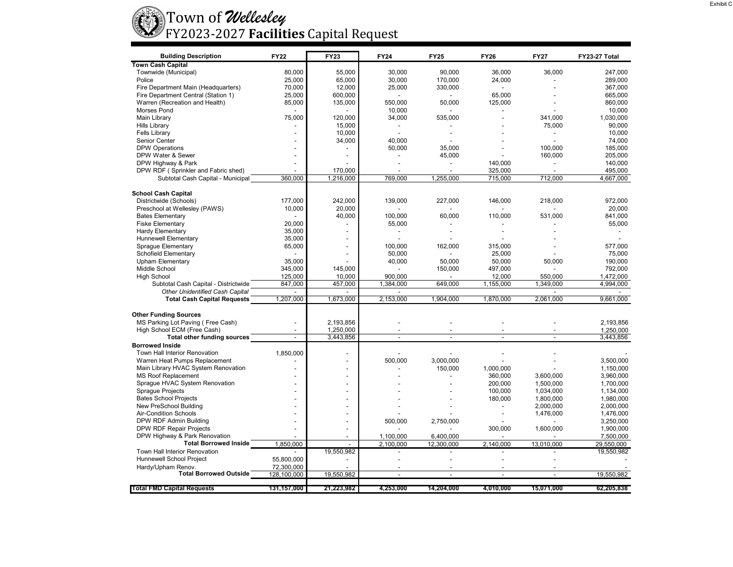

| <b>Building Description</b>          | <b>FY22</b>    | <b>FY23</b>    | <b>FY24</b>              | <b>FY25</b>              | <b>FY26</b>              | <b>FY27</b>    | FY23-27 Total |
|--------------------------------------|----------------|----------------|--------------------------|--------------------------|--------------------------|----------------|---------------|
| <b>Town Cash Capital</b>             |                |                |                          |                          |                          |                |               |
| Townwide (Municipal)                 | 80,000         | 55,000         | 30.000                   | 90.000                   | 36,000                   | 36,000         | 247.000       |
| Police                               | 25,000         | 65,000         | 30.000                   | 170.000                  | 24,000                   |                | 289.000       |
| Fire Department Main (Headquarters)  | 70,000         | 12,000         | 25,000                   | 330,000                  | $\overline{\phantom{a}}$ |                | 367,000       |
| Fire Department Central (Station 1)  | 25,000         | 600,000        |                          |                          | 65,000                   |                | 665,000       |
| Warren (Recreation and Health)       | 85,000         | 135,000        | 550,000                  | 50,000                   | 125,000                  |                | 860,000       |
| <b>Morses Pond</b>                   |                |                | 10,000                   |                          | $\overline{a}$           |                | 10,000        |
| <b>Main Library</b>                  | 75,000         | 120,000        | 34,000                   | 535,000                  | ÷,                       | 341,000        | 1,030,000     |
| <b>Hills Library</b>                 |                | 15,000         |                          |                          |                          | 75,000         | 90.000        |
| <b>Fells Library</b>                 |                | 10,000         |                          |                          |                          | $\overline{a}$ | 10,000        |
| Senior Center                        |                | 34,000         | 40,000                   |                          |                          |                | 74,000        |
| <b>DPW Operations</b>                |                |                | 50,000                   | 35,000                   |                          | 100,000        | 185,000       |
| DPW Water & Sewer                    |                |                | $\overline{a}$           | 45,000                   |                          | 160,000        | 205,000       |
| DPW Highway & Park                   |                |                |                          |                          | 140,000                  |                | 140,000       |
| DPW RDF (Sprinkler and Fabric shed)  |                | 170,000        |                          | $\overline{\phantom{a}}$ | 325,000                  | $\overline{a}$ | 495,000       |
| Subtotal Cash Capital - Municipal    | 360,000        | 1,216,000      | 769,000                  | 1,255,000                | 715,000                  | 712,000        | 4,667,000     |
|                                      |                |                |                          |                          |                          |                |               |
| <b>School Cash Capital</b>           |                |                |                          |                          |                          |                |               |
| Districtwide (Schools)               | 177.000        | 242.000        | 139,000                  | 227,000                  | 146,000                  | 218.000        | 972.000       |
| Preschool at Wellesley (PAWS)        | 10,000         | 20,000         |                          |                          |                          |                | 20,000        |
| <b>Bates Elementary</b>              |                | 40,000         | 100,000                  | 60,000                   | 110,000                  | 531,000        | 841,000       |
| <b>Fiske Elementary</b>              | 20,000         |                | 55,000                   |                          |                          |                | 55,000        |
| <b>Hardy Elementary</b>              | 35,000         |                |                          |                          |                          |                |               |
| <b>Hunnewell Elementary</b>          | 35,000         |                |                          |                          |                          |                |               |
| <b>Sprague Elementary</b>            | 65,000         | $\overline{a}$ | 100,000                  | 162,000                  | 315,000                  |                | 577,000       |
| Schofield Elementary                 |                |                | 50,000                   |                          | 25,000                   |                | 75,000        |
| <b>Upham Elementary</b>              | 35,000         |                | 40,000                   | 50,000                   | 50,000                   | 50,000         | 190,000       |
| Middle School                        | 345,000        | 145,000        |                          | 150,000                  | 497,000                  |                | 792,000       |
| <b>High School</b>                   | 125,000        | 10.000         | 900.000                  |                          | 12,000                   | 550.000        | 1.472.000     |
| Subtotal Cash Capital - Districtwide | 847,000        | 457,000        | 1,384,000                | 649,000                  | 1,155,000                | 1,349,000      | 4,994,000     |
| Other Unidentified Cash Capital      |                |                |                          |                          |                          |                |               |
| <b>Total Cash Capital Requests</b>   | 1,207,000      | 1,673,000      | 2,153,000                | 1,904,000                | 1,870,000                | 2,061,000      | 9,661,000     |
|                                      |                |                |                          |                          |                          |                |               |
| <b>Other Funding Sources</b>         |                |                |                          |                          |                          |                |               |
| MS Parking Lot Paving (Free Cash)    |                | 2,193,856      |                          |                          |                          |                | 2,193,856     |
| High School ECM (Free Cash)          |                | 1,250,000      |                          |                          |                          |                | 1,250,000     |
| Total other funding sources          | $\overline{a}$ | 3,443,856      | $\overline{a}$           | $\overline{a}$           | $\overline{a}$           | $\overline{a}$ | 3,443,856     |
| <b>Borrowed Inside</b>               |                |                |                          |                          |                          |                |               |
| Town Hall Interior Renovation        | 1,850,000      | $\overline{a}$ |                          |                          |                          |                |               |
| Warren Heat Pumps Replacement        |                |                | 500.000                  | 3,000,000                |                          |                | 3,500,000     |
| Main Library HVAC System Renovation  |                |                |                          | 150,000                  | 1,000,000                |                | 1.150.000     |
| <b>MS Roof Replacement</b>           |                |                |                          |                          | 360,000                  | 3,600,000      | 3,960,000     |
| Sprague HVAC System Renovation       |                |                |                          |                          | 200,000                  | 1,500,000      | 1,700,000     |
| <b>Sprague Projects</b>              |                |                |                          |                          | 100,000                  | 1,034,000      | 1,134,000     |
| <b>Bates School Projects</b>         |                |                |                          |                          | 180,000                  | 1,800,000      | 1,980,000     |
| New PreSchool Building               |                |                |                          |                          |                          | 2,000,000      | 2,000,000     |
| Air-Condition Schools                |                |                |                          |                          |                          | 1,476,000      | 1,476,000     |
| DPW RDF Admin Building               |                |                | 500,000                  | 2,750,000                |                          |                | 3,250,000     |
| DPW RDF Repair Projects              |                |                |                          |                          | 300,000                  | 1,600,000      | 1,900,000     |
| DPW Highway & Park Renovation        |                |                | 1,100,000                | 6,400,000                |                          |                | 7,500,000     |
| <b>Total Borrowed Inside</b>         | 1,850,000      |                | 2,100,000                | 12,300,000               | 2,140,000                | 13,010,000     | 29,550,000    |
| Town Hall Interior Renovation        | $\overline{a}$ | 19,550,982     | $\overline{\phantom{a}}$ |                          | $\overline{a}$           |                | 19,550,982    |
| Hunnewell School Project             | 55,800,000     |                |                          |                          |                          |                |               |
| Hardy/Upham Renov.                   | 72,300,000     |                |                          |                          |                          |                |               |
| <b>Total Borrowed Outside</b>        | 128,100,000    | 19,550,982     | $\overline{a}$           |                          | $\overline{a}$           |                | 19,550,982    |
|                                      |                |                |                          |                          |                          |                |               |
| <b>Total FMD Capital Requests</b>    | 131,157,000    | 21,223,982     | 4,253,000                | 14.204.000               | 4.010.000                | 15.071.000     | 62,205,838    |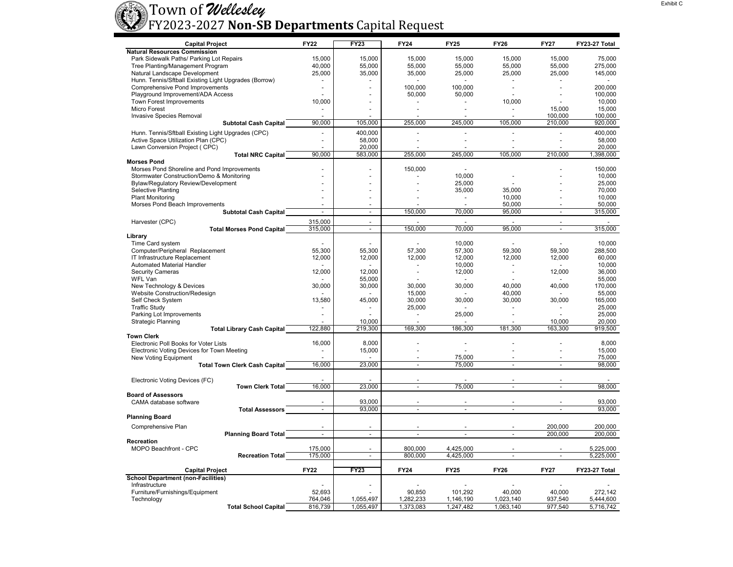## Town o f *Wellesley* FY2023-2027 **Non‐SB Departments** Capital Request

| <b>Capital Project</b>                                               |                                   | <b>FY22</b>              | <b>FY23</b>         | <b>FY24</b>    | <b>FY25</b>    | <b>FY26</b>              | <b>FY27</b>              | FY23-27 Total     |
|----------------------------------------------------------------------|-----------------------------------|--------------------------|---------------------|----------------|----------------|--------------------------|--------------------------|-------------------|
| <b>Natural Resources Commission</b>                                  |                                   |                          |                     |                |                |                          |                          |                   |
| Park Sidewalk Paths/ Parking Lot Repairs                             |                                   | 15,000                   | 15,000              | 15,000         | 15,000         | 15,000                   | 15,000                   | 75,000            |
| Tree Planting/Management Program                                     |                                   | 40,000                   | 55,000              | 55,000         | 55,000         | 55,000                   | 55,000                   | 275,000           |
| Natural Landscape Development                                        |                                   | 25,000                   | 35,000              | 35,000         | 25,000         | 25,000                   | 25,000                   | 145,000           |
| Hunn. Tennis/Sftball Existing Light Upgrades (Borrow)                |                                   | $\blacksquare$           | ÷.                  |                | $\sim$         |                          | $\overline{a}$           |                   |
| <b>Comprehensive Pond Improvements</b>                               |                                   |                          |                     | 100,000        | 100.000        |                          |                          | 200.000           |
| Playground Improvement/ADA Access<br><b>Town Forest Improvements</b> |                                   |                          | $\overline{a}$      | 50,000         | 50,000         |                          | $\overline{a}$           | 100,000           |
| Micro Forest                                                         |                                   | 10,000<br>$\blacksquare$ | $\overline{a}$<br>÷ |                | $\blacksquare$ | 10,000<br>$\overline{a}$ | 15,000                   | 10.000<br>15,000  |
| Invasive Species Removal                                             |                                   |                          |                     |                |                |                          | 100.000                  | 100.000           |
|                                                                      | <b>Subtotal Cash Capital</b>      | 90,000                   | 105,000             | 255,000        | 245,000        | 105,000                  | 210,000                  | 920,000           |
|                                                                      |                                   |                          |                     |                |                |                          |                          |                   |
| Hunn. Tennis/Sftball Existing Light Upgrades (CPC)                   |                                   |                          | 400,000<br>58,000   |                |                |                          | L.                       | 400,000           |
| Active Space Utilization Plan (CPC)<br>Lawn Conversion Project (CPC) |                                   |                          | 20,000              |                |                |                          |                          | 58,000<br>20,000  |
|                                                                      | <b>Total NRC Capital</b>          | 90.000                   | 583,000             | 255,000        | 245,000        | 105,000                  | 210.000                  | 1,398,000         |
| <b>Morses Pond</b>                                                   |                                   |                          |                     |                |                |                          |                          |                   |
| Morses Pond Shoreline and Pond Improvements                          |                                   | ٠                        | ÷.                  | 150,000        | $\overline{a}$ |                          |                          | 150,000           |
| Stormwater Construction/Demo & Monitoring                            |                                   |                          | $\overline{a}$      |                | 10.000         |                          |                          | 10.000            |
| <b>Bylaw/Regulatory Review/Development</b>                           |                                   |                          | ÷.                  |                | 25,000         |                          |                          | 25,000            |
| <b>Selective Planting</b>                                            |                                   |                          |                     |                | 35,000         | 35.000                   |                          | 70.000            |
| <b>Plant Monitoring</b>                                              |                                   |                          | ÷.                  |                | ٠              | 10,000                   |                          | 10,000            |
| Morses Pond Beach Improvements                                       |                                   |                          |                     |                |                | 50.000                   |                          | 50.000            |
|                                                                      | <b>Subtotal Cash Capital</b>      | $\overline{a}$           | $\mathbf{r}$        | 150,000        | 70,000         | 95,000                   | $\overline{\phantom{a}}$ | 315,000           |
| Harvester (CPC)                                                      |                                   | 315,000                  | $\blacksquare$      |                |                |                          | $\overline{a}$           |                   |
| <b>Total Morses Pond Capital</b>                                     |                                   | 315,000                  | $\blacksquare$      | 150,000        | 70,000         | 95,000                   | $\overline{a}$           | 315,000           |
| Library                                                              |                                   |                          |                     |                |                |                          |                          |                   |
| Time Card system                                                     |                                   |                          |                     |                | 10.000         | $\overline{a}$           |                          | 10,000            |
| Computer/Peripheral Replacement                                      |                                   | 55,300                   | 55,300              | 57,300         | 57,300         | 59,300                   | 59,300                   | 288,500           |
| IT Infrastructure Replacement                                        |                                   | 12,000                   | 12,000              | 12,000         | 12,000         | 12,000                   | 12,000                   | 60,000            |
| Automated Material Handler                                           |                                   |                          |                     |                | 10,000         |                          |                          | 10,000            |
| <b>Security Cameras</b>                                              |                                   | 12,000                   | 12,000              | $\overline{a}$ | 12,000         |                          | 12,000                   | 36.000            |
| <b>WFL Van</b>                                                       |                                   |                          | 55,000              | 30,000         | $\blacksquare$ | 40,000                   |                          | 55,000<br>170,000 |
| New Technology & Devices<br>Website Construction/Redesign            |                                   | 30,000                   | 30,000              | 15,000         | 30,000         | 40,000                   | 40,000                   | 55,000            |
| Self Check System                                                    |                                   | 13,580                   | 45,000              | 30,000         | 30,000         | 30,000                   | 30,000                   | 165,000           |
| <b>Traffic Study</b>                                                 |                                   |                          |                     | 25,000         |                |                          |                          | 25,000            |
| Parking Lot Improvements                                             |                                   |                          |                     | $\overline{a}$ | 25,000         | $\overline{a}$           |                          | 25,000            |
| <b>Strategic Planning</b>                                            |                                   |                          | 10,000              |                |                |                          | 10.000                   | 20.000            |
|                                                                      | <b>Total Library Cash Capital</b> | 122,880                  | 219,300             | 169,300        | 186,300        | 181,300                  | 163,300                  | 919,500           |
| <b>Town Clerk</b>                                                    |                                   |                          |                     |                |                |                          |                          |                   |
| Electronic Poll Books for Voter Lists                                |                                   | 16,000                   | 8,000               |                | ٠              |                          |                          | 8.000             |
| Electronic Voting Devices for Town Meeting                           |                                   |                          | 15,000              |                |                |                          |                          | 15,000            |
| New Voting Equipment                                                 |                                   |                          |                     | $\overline{a}$ | 75.000         |                          |                          | 75,000            |
| <b>Total Town Clerk Cash Capital</b>                                 |                                   | 16,000                   | 23,000              | $\overline{a}$ | 75,000         |                          |                          | 98,000            |
|                                                                      |                                   |                          |                     |                |                |                          |                          |                   |
| Electronic Voting Devices (FC)                                       |                                   | 16,000                   |                     | $\overline{a}$ | 75,000         | $\overline{a}$           | $\overline{a}$           | 98,000            |
|                                                                      | <b>Town Clerk Total</b>           |                          | 23,000              |                |                |                          |                          |                   |
| <b>Board of Assessors</b>                                            |                                   |                          | 93,000              |                |                |                          |                          | 93.000            |
| CAMA database software                                               | <b>Total Assessors</b>            | $\overline{a}$           | 93,000              | ÷.             |                |                          |                          | 93,000            |
| <b>Planning Board</b>                                                |                                   |                          |                     |                |                |                          |                          |                   |
|                                                                      |                                   |                          |                     |                |                |                          |                          |                   |
| Comprehensive Plan                                                   |                                   |                          |                     |                |                |                          | 200.000                  | 200.000           |
|                                                                      | <b>Planning Board Total</b>       | $\overline{\phantom{a}}$ | $\mathbf{r}$        | $\overline{a}$ |                | $\overline{a}$           | 200,000                  | 200,000           |
| <b>Recreation</b><br>MOPO Beachfront - CPC                           |                                   | 175,000                  | $\blacksquare$      | 800,000        | 4,425,000      |                          |                          | 5,225,000         |
|                                                                      | <b>Recreation Total</b>           | 175.000                  | $\sim$              | 800.000        | 4,425,000      | $\overline{\phantom{a}}$ | $\sim$                   | 5,225,000         |
|                                                                      |                                   |                          |                     |                |                |                          |                          |                   |
| <b>Capital Project</b>                                               |                                   | <b>FY22</b>              | <b>FY23</b>         | <b>FY24</b>    | <b>FY25</b>    | <b>FY26</b>              | <b>FY27</b>              | FY23-27 Total     |
| <b>School Department (non-Facilities)</b>                            |                                   |                          |                     |                |                |                          |                          |                   |
| Infrastructure                                                       |                                   |                          |                     |                |                |                          |                          |                   |
| Furniture/Furnishings/Equipment                                      |                                   | 52,693                   |                     | 90,850         | 101,292        | 40,000                   | 40,000                   | 272,142           |
| Technology                                                           |                                   | 764,046                  | 1,055,497           | 1,282,233      | 1,146,190      | 1,023,140                | 937,540                  | 5,444,600         |
|                                                                      | <b>Total School Capital</b>       | 816,739                  | 1,055,497           | 1,373,083      | 1,247,482      | 1,063,140                | 977,540                  | 5,716,742         |